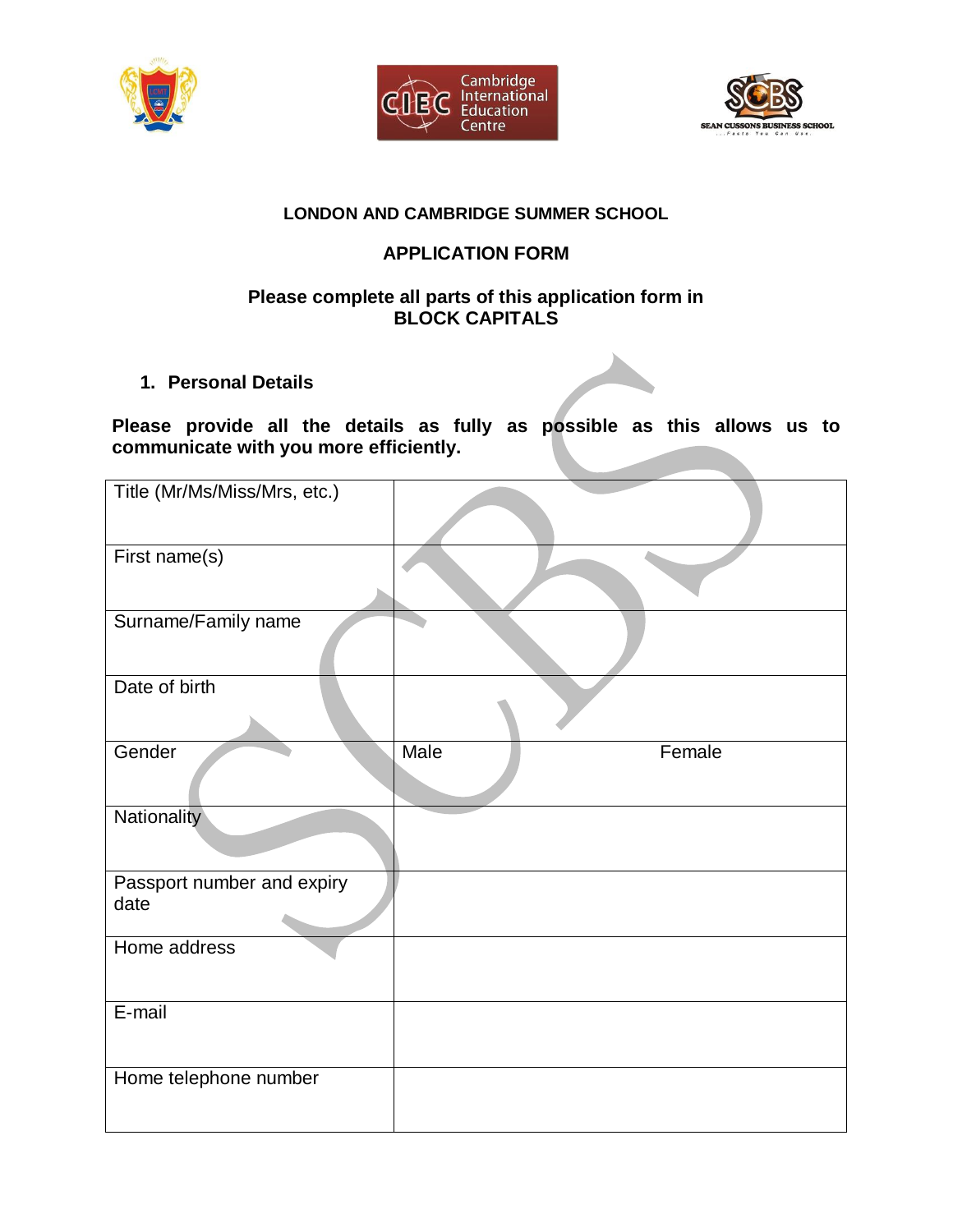





## **LONDON AND CAMBRIDGE SUMMER SCHOOL**

# **APPLICATION FORM**

### **Please complete all parts of this application form in BLOCK CAPITALS**

**1. Personal Details**

## **Please provide all the details as fully as possible as this allows us to communicate with you more efficiently.**

| Title (Mr/Ms/Miss/Mrs, etc.)       |                |
|------------------------------------|----------------|
| First name(s)                      |                |
| Surname/Family name                |                |
| Date of birth                      |                |
| Gender                             | Male<br>Female |
| Nationality                        |                |
| Passport number and expiry<br>date |                |
| Home address                       |                |
| E-mail                             |                |
| Home telephone number              |                |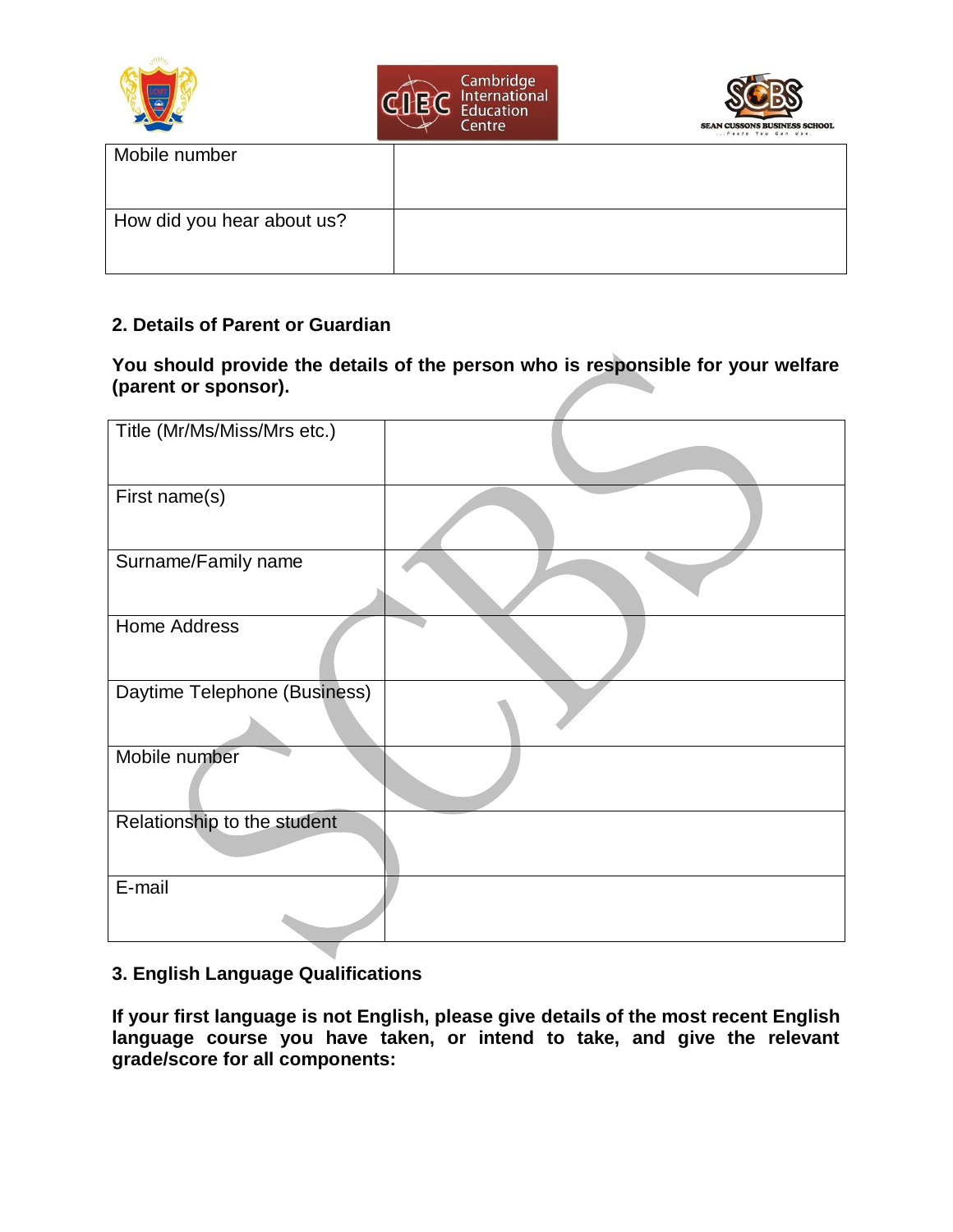| E                          | Cambridge<br>International<br>Education<br>Centre | <b>SEAN CUSSONS BUSINESS SCHOOL</b><br>Facts You Can Use. |
|----------------------------|---------------------------------------------------|-----------------------------------------------------------|
| Mobile number              |                                                   |                                                           |
| How did you hear about us? |                                                   |                                                           |

### **2. Details of Parent or Guardian**

**You should provide the details of the person who is responsible for your welfare (parent or sponsor).**

| Title (Mr/Ms/Miss/Mrs etc.)  |  |
|------------------------------|--|
| First name(s)                |  |
| Surname/Family name          |  |
| Home Address                 |  |
| Daytime Telephone (Business) |  |
| Mobile number                |  |
| Relationship to the student  |  |
| E-mail                       |  |

## **3. English Language Qualifications**

**If your first language is not English, please give details of the most recent English language course you have taken, or intend to take, and give the relevant grade/score for all components:**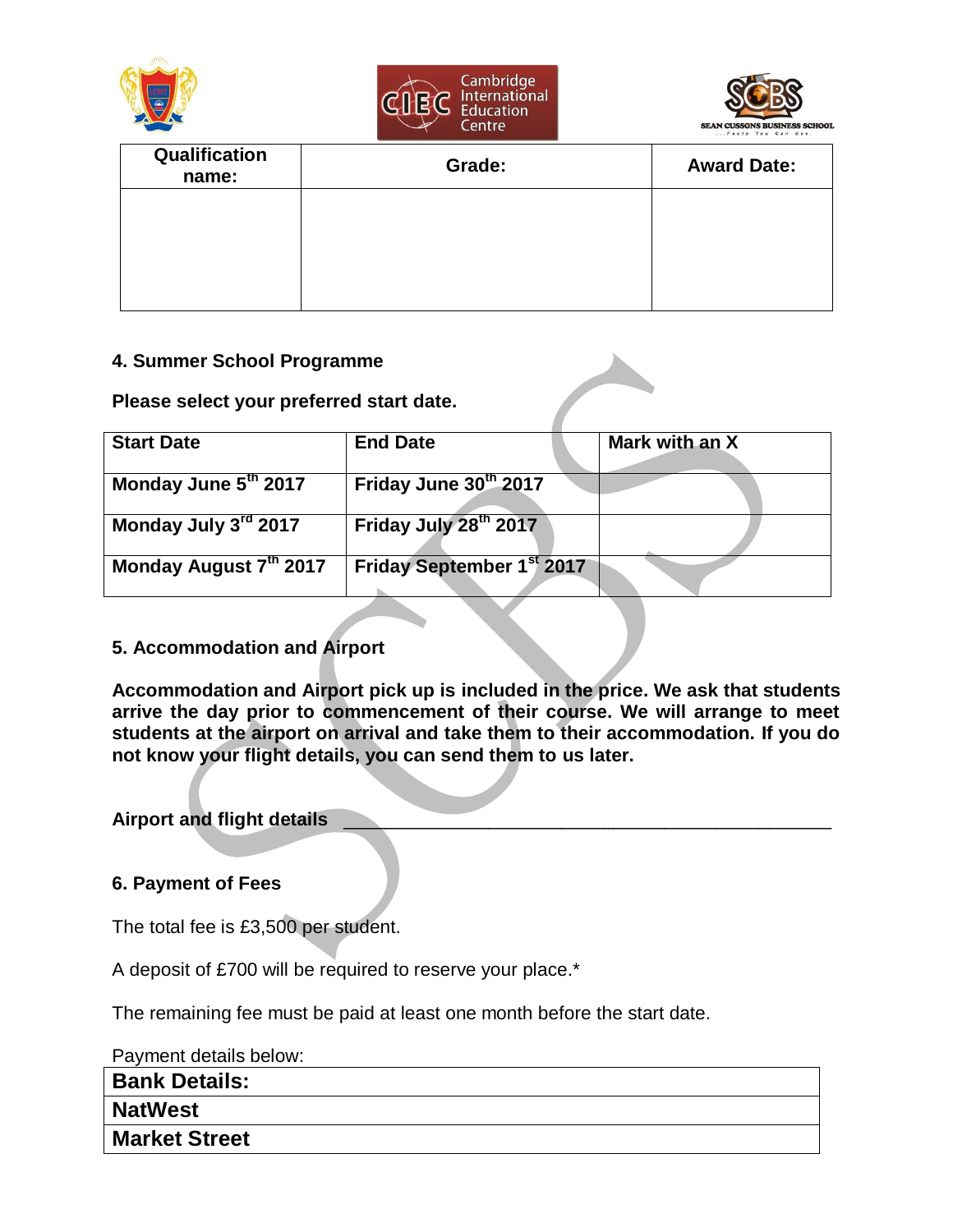





| Qualification<br>name: | Grade: | <b>Award Date:</b> |
|------------------------|--------|--------------------|
|                        |        |                    |
|                        |        |                    |
|                        |        |                    |

### **4. Summer School Programme**

### **Please select your preferred start date.**

| <b>Start Date</b>      | <b>End Date</b>                       | Mark with an X |
|------------------------|---------------------------------------|----------------|
| Monday June 5th 2017   | Friday June 30th 2017                 |                |
| Monday July 3rd 2017   | Friday July 28th 2017                 |                |
| Monday August 7th 2017 | Friday September 1 <sup>st</sup> 2017 |                |

### **5. Accommodation and Airport**

**Accommodation and Airport pick up is included in the price. We ask that students arrive the day prior to commencement of their course. We will arrange to meet students at the airport on arrival and take them to their accommodation. If you do not know your flight details, you can send them to us later.**

### **Airport and flight details** \_\_\_\_\_\_\_\_\_\_\_\_\_\_\_\_\_\_\_\_\_\_\_\_\_\_\_\_\_\_\_\_\_\_\_\_\_\_\_\_\_\_\_\_\_\_\_

### **6. Payment of Fees**

The total fee is £3,500 per student.

A deposit of £700 will be required to reserve your place.\*

The remaining fee must be paid at least one month before the start date.

Payment details below:

| <b>Bank Details:</b> |  |
|----------------------|--|
| <b>NatWest</b>       |  |
| <b>Market Street</b> |  |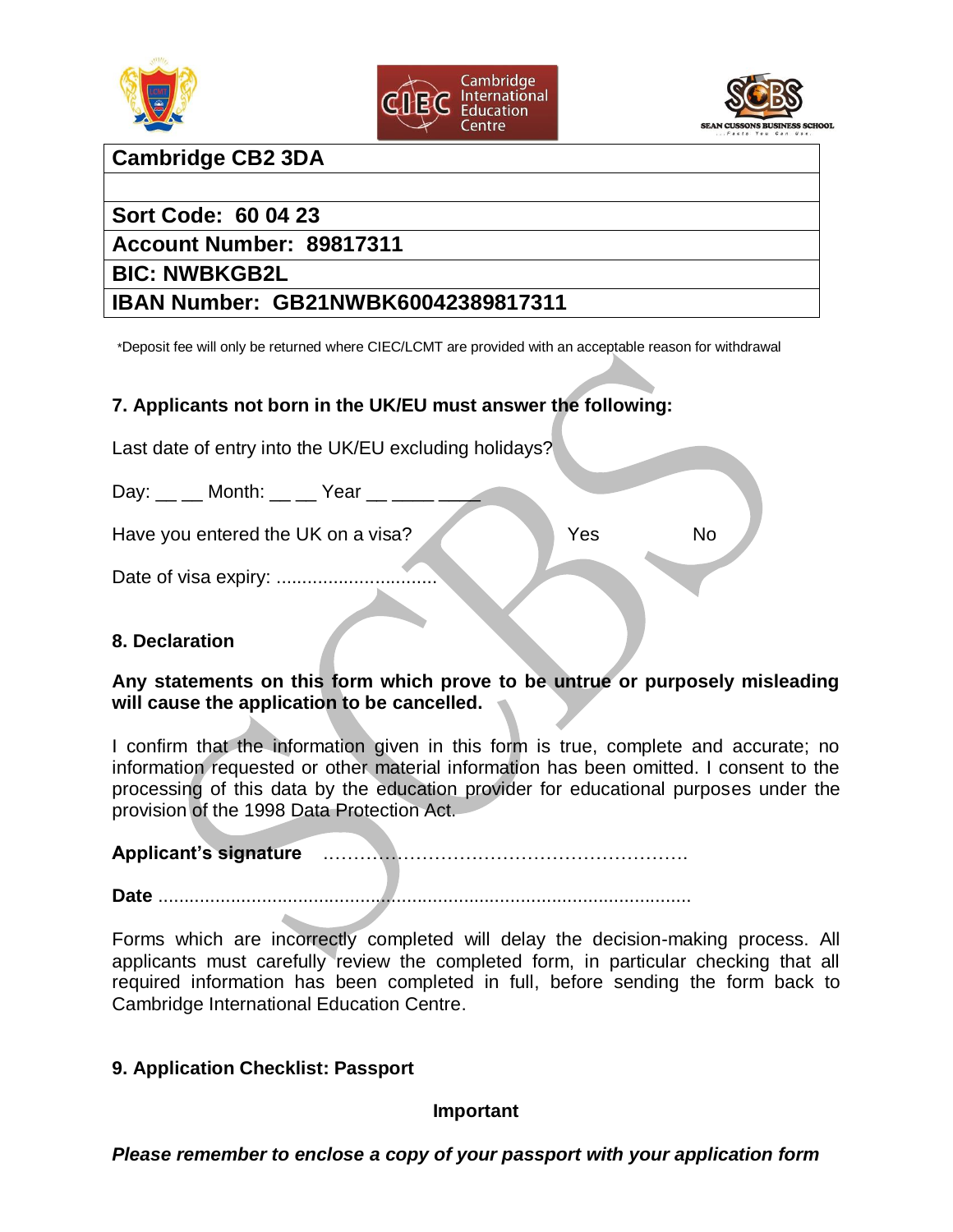





# **Cambridge CB2 3DA**

# **Sort Code: 60 04 23**

**Account Number: 89817311**

# **BIC: NWBKGB2L**

# **IBAN Number: GB21NWBK60042389817311**

\*Deposit fee will only be returned where CIEC/LCMT are provided with an acceptable reason for withdrawal

## **7. Applicants not born in the UK/EU must answer the following:**

Last date of entry into the UK/EU excluding holidays?

 $Day:$  \_\_ \_\_ Month: \_\_ \_\_ Year \_\_ \_\_\_\_\_

Have you entered the UK on a visa? No No No No No

Date of visa expiry: ...................

### **8. Declaration**

### **Any statements on this form which prove to be untrue or purposely misleading will cause the application to be cancelled.**

I confirm that the information given in this form is true, complete and accurate; no information requested or other material information has been omitted. I consent to the processing of this data by the education provider for educational purposes under the provision of the 1998 Data Protection Act.

**Applicant's signature** .………………………………………………….

**Date** .......................................................................................................

Forms which are incorrectly completed will delay the decision-making process. All applicants must carefully review the completed form, in particular checking that all required information has been completed in full, before sending the form back to Cambridge International Education Centre.

### **9. Application Checklist: Passport**

### **Important**

*Please remember to enclose a copy of your passport with your application form*